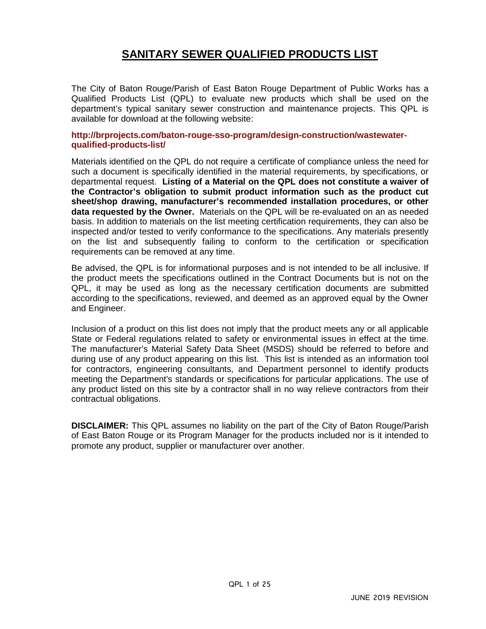# **SANITARY SEWER QUALIFIED PRODUCTS LIST**

The City of Baton Rouge/Parish of East Baton Rouge Department of Public Works has a Qualified Products List (QPL) to evaluate new products which shall be used on the department's typical sanitary sewer construction and maintenance projects. This QPL is available for download at the following website:

#### **http://brprojects.com/baton-rouge-sso-program/design-construction/wastewaterqualified-products-list/**

Materials identified on the QPL do not require a certificate of compliance unless the need for such a document is specifically identified in the material requirements, by specifications, or departmental request. **Listing of a Material on the QPL does not constitute a waiver of the Contractor's obligation to submit product information such as the product cut sheet/shop drawing, manufacturer's recommended installation procedures, or other data requested by the Owner.** Materials on the QPL will be re-evaluated on an as needed basis. In addition to materials on the list meeting certification requirements, they can also be inspected and/or tested to verify conformance to the specifications. Any materials presently on the list and subsequently failing to conform to the certification or specification requirements can be removed at any time.

Be advised, the QPL is for informational purposes and is not intended to be all inclusive. If the product meets the specifications outlined in the Contract Documents but is not on the QPL, it may be used as long as the necessary certification documents are submitted according to the specifications, reviewed, and deemed as an approved equal by the Owner and Engineer.

Inclusion of a product on this list does not imply that the product meets any or all applicable State or Federal regulations related to safety or environmental issues in effect at the time. The manufacturer's Material Safety Data Sheet (MSDS) should be referred to before and during use of any product appearing on this list. This list is intended as an information tool for contractors, engineering consultants, and Department personnel to identify products meeting the Department's standards or specifications for particular applications. The use of any product listed on this site by a contractor shall in no way relieve contractors from their contractual obligations.

**DISCLAIMER:** This QPL assumes no liability on the part of the City of Baton Rouge/Parish of East Baton Rouge or its Program Manager for the products included nor is it intended to promote any product, supplier or manufacturer over another.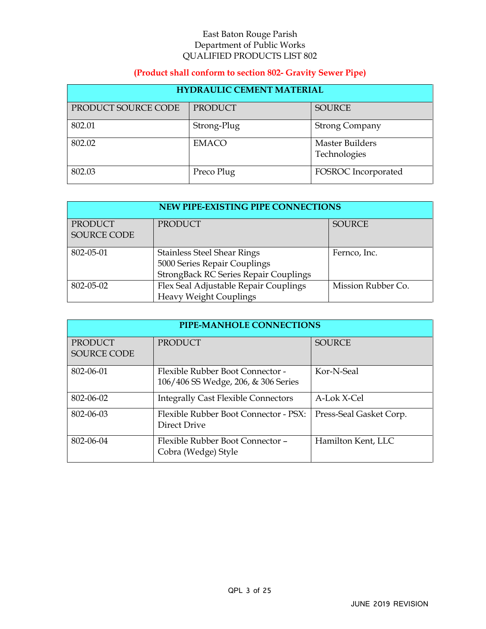## **(Product shall conform to section 802- Gravity Sewer Pipe)**

| <b>HYDRAULIC CEMENT MATERIAL</b> |              |                                        |  |
|----------------------------------|--------------|----------------------------------------|--|
| PRODUCT SOURCE CODE              | PRODUCT      | <b>SOURCE</b>                          |  |
| 802.01                           | Strong-Plug  | <b>Strong Company</b>                  |  |
| 802.02                           | <b>EMACO</b> | <b>Master Builders</b><br>Technologies |  |
| 802.03                           | Preco Plug   | FOSROC Incorporated                    |  |

| NEW PIPE-EXISTING PIPE CONNECTIONS |                                       |                    |  |
|------------------------------------|---------------------------------------|--------------------|--|
| <b>PRODUCT</b>                     | <b>PRODUCT</b>                        | <b>SOURCE</b>      |  |
| SOURCE CODE                        |                                       |                    |  |
| 802-05-01                          | <b>Stainless Steel Shear Rings</b>    | Fernco, Inc.       |  |
|                                    | 5000 Series Repair Couplings          |                    |  |
|                                    | StrongBack RC Series Repair Couplings |                    |  |
| 802-05-02                          | Flex Seal Adjustable Repair Couplings | Mission Rubber Co. |  |
|                                    | <b>Heavy Weight Couplings</b>         |                    |  |

| PIPE-MANHOLE CONNECTIONS             |                                                                         |                         |  |
|--------------------------------------|-------------------------------------------------------------------------|-------------------------|--|
| <b>PRODUCT</b><br><b>SOURCE CODE</b> | <b>PRODUCT</b>                                                          | <b>SOURCE</b>           |  |
| 802-06-01                            | Flexible Rubber Boot Connector -<br>106/406 SS Wedge, 206, & 306 Series | Kor-N-Seal              |  |
| 802-06-02                            | <b>Integrally Cast Flexible Connectors</b>                              | A-Lok X-Cel             |  |
| 802-06-03                            | Flexible Rubber Boot Connector - PSX:<br>Direct Drive                   | Press-Seal Gasket Corp. |  |
| 802-06-04                            | Flexible Rubber Boot Connector -<br>Cobra (Wedge) Style                 | Hamilton Kent, LLC      |  |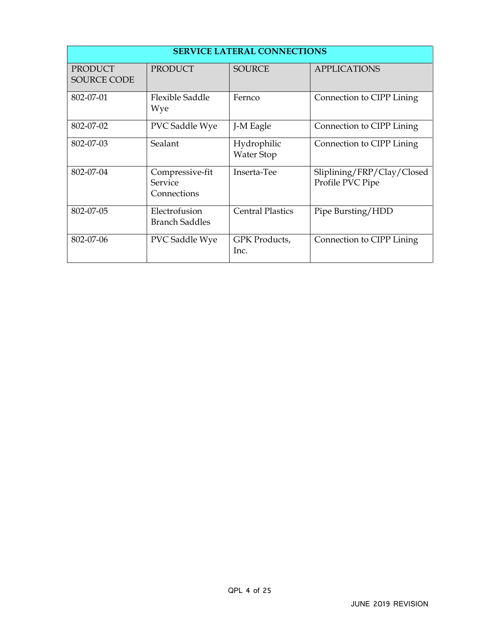| <b>SERVICE LATERAL CONNECTIONS</b> |                                           |                                  |                                                |
|------------------------------------|-------------------------------------------|----------------------------------|------------------------------------------------|
| PRODUCT<br><b>SOURCE CODE</b>      | <b>PRODUCT</b>                            | <b>SOURCE</b>                    | <b>APPLICATIONS</b>                            |
| 802-07-01                          | <b>Flexible Saddle</b><br>Wye             | Fernco                           | Connection to CIPP Lining                      |
| 802-07-02                          | PVC Saddle Wye                            | J-M Eagle                        | Connection to CIPP Lining                      |
| 802-07-03                          | Sealant                                   | Hydrophilic<br><b>Water Stop</b> | Connection to CIPP Lining                      |
| 802-07-04                          | Compressive-fit<br>Service<br>Connections | Inserta-Tee                      | Sliplining/FRP/Clay/Closed<br>Profile PVC Pipe |
| 802-07-05                          | Electrofusion<br><b>Branch Saddles</b>    | <b>Central Plastics</b>          | Pipe Bursting/HDD                              |
| 802-07-06                          | PVC Saddle Wye                            | GPK Products,<br>Inc.            | Connection to CIPP Lining                      |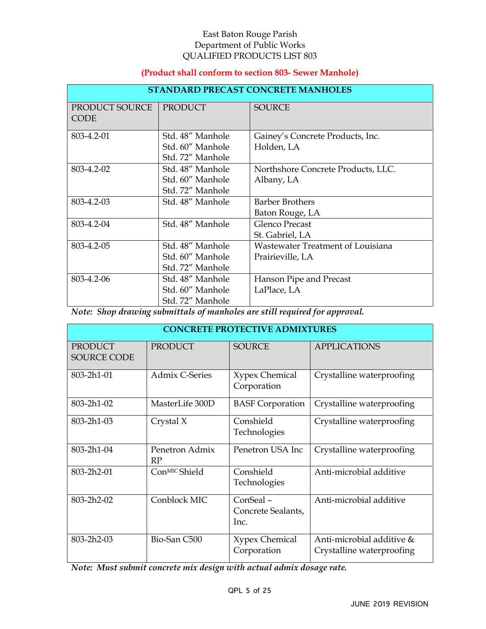## **(Product shall conform to section 803- Sewer Manhole)**

| <b>STANDARD PRECAST CONCRETE MANHOLES</b> |                  |                                    |  |
|-------------------------------------------|------------------|------------------------------------|--|
| PRODUCT SOURCE<br><b>CODE</b>             | PRODUCT          | <b>SOURCE</b>                      |  |
| 803-4.2-01                                | Std. 48" Manhole | Gainey's Concrete Products, Inc.   |  |
|                                           | Std. 60" Manhole | Holden, LA                         |  |
|                                           | Std. 72" Manhole |                                    |  |
| 803-4.2-02                                | Std. 48" Manhole | Northshore Concrete Products, LLC. |  |
|                                           | Std. 60" Manhole | Albany, LA                         |  |
|                                           | Std. 72" Manhole |                                    |  |
| 803-4.2-03                                | Std. 48" Manhole | <b>Barber Brothers</b>             |  |
|                                           |                  | Baton Rouge, LA                    |  |
| 803-4.2-04                                | Std. 48" Manhole | Glenco Precast                     |  |
|                                           |                  | St. Gabriel, LA                    |  |
| 803-4.2-05                                | Std. 48" Manhole | Wastewater Treatment of Louisiana  |  |
|                                           | Std. 60" Manhole | Prairieville, LA                   |  |
|                                           | Std. 72" Manhole |                                    |  |
| 803-4.2-06                                | Std. 48" Manhole | Hanson Pipe and Precast            |  |
|                                           | Std. 60" Manhole | LaPlace, LA                        |  |
|                                           | Std. 72" Manhole |                                    |  |

*Note: Shop drawing submittals of manholes are still required for approval.* 

| <b>CONCRETE PROTECTIVE ADMIXTURES</b> |                      |                                        |                                                        |
|---------------------------------------|----------------------|----------------------------------------|--------------------------------------------------------|
| <b>PRODUCT</b><br><b>SOURCE CODE</b>  | <b>PRODUCT</b>       | <b>SOURCE</b>                          | <b>APPLICATIONS</b>                                    |
| 803-2h1-01                            | Admix C-Series       | <b>Xypex Chemical</b><br>Corporation   | Crystalline waterproofing                              |
| 803-2h1-02                            | MasterLife 300D      | <b>BASF</b> Corporation                | Crystalline waterproofing                              |
| 803-2h1-03                            | Crystal X            | Conshield<br>Technologies              | Crystalline waterproofing                              |
| 803-2h1-04                            | Penetron Admix<br>RP | Penetron USA Inc                       | Crystalline waterproofing                              |
| 803-2h2-01                            | ConMIC Shield        | Conshield<br>Technologies              | Anti-microbial additive                                |
| 803-2h2-02                            | Conblock MIC         | ConSeal-<br>Concrete Sealants,<br>Inc. | Anti-microbial additive                                |
| 803-2h2-03                            | Bio-San C500         | <b>Xypex Chemical</b><br>Corporation   | Anti-microbial additive &<br>Crystalline waterproofing |

*Note: Must submit concrete mix design with actual admix dosage rate.*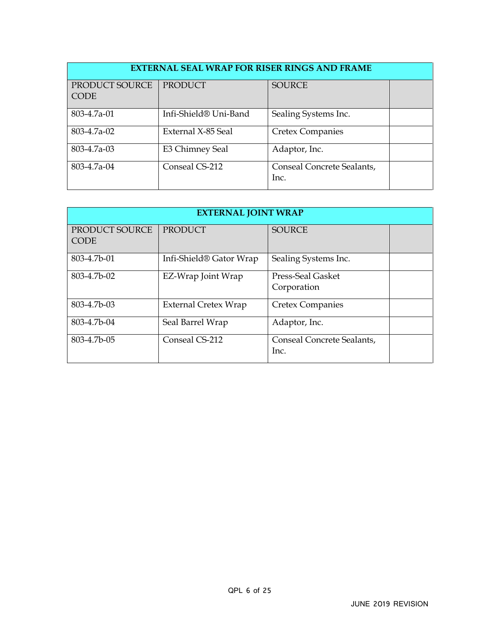| <b>EXTERNAL SEAL WRAP FOR RISER RINGS AND FRAME</b> |                       |                                    |  |
|-----------------------------------------------------|-----------------------|------------------------------------|--|
| PRODUCT SOURCE<br><b>CODE</b>                       | <b>PRODUCT</b>        | <b>SOURCE</b>                      |  |
| 803-4.7a-01                                         | Infi-Shield® Uni-Band | Sealing Systems Inc.               |  |
| 803-4.7a-02                                         | External X-85 Seal    | <b>Cretex Companies</b>            |  |
| 803-4.7a-03                                         | E3 Chimney Seal       | Adaptor, Inc.                      |  |
| 803-4.7a-04                                         | Conseal CS-212        | Conseal Concrete Sealants,<br>Inc. |  |

| <b>EXTERNAL JOINT WRAP</b>    |                                     |                                    |  |
|-------------------------------|-------------------------------------|------------------------------------|--|
| PRODUCT SOURCE<br><b>CODE</b> | <b>PRODUCT</b>                      | <b>SOURCE</b>                      |  |
| 803-4.7b-01                   | Infi-Shield <sup>®</sup> Gator Wrap | Sealing Systems Inc.               |  |
| 803-4.7b-02                   | EZ-Wrap Joint Wrap                  | Press-Seal Gasket<br>Corporation   |  |
| 803-4.7b-03                   | External Cretex Wrap                | <b>Cretex Companies</b>            |  |
| 803-4.7b-04                   | Seal Barrel Wrap                    | Adaptor, Inc.                      |  |
| 803-4.7b-05                   | Conseal CS-212                      | Conseal Concrete Sealants,<br>Inc. |  |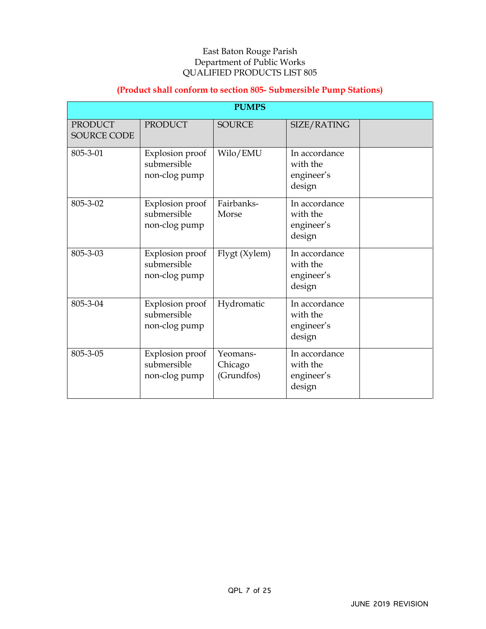## **(Product shall conform to section 805- Submersible Pump Stations)**

| <b>PUMPS</b>                         |                                                 |                                   |                                                   |  |
|--------------------------------------|-------------------------------------------------|-----------------------------------|---------------------------------------------------|--|
| <b>PRODUCT</b><br><b>SOURCE CODE</b> | <b>PRODUCT</b>                                  | <b>SOURCE</b>                     | SIZE/RATING                                       |  |
| 805-3-01                             | Explosion proof<br>submersible<br>non-clog pump | Wilo/EMU                          | In accordance<br>with the<br>engineer's<br>design |  |
| 805-3-02                             | Explosion proof<br>submersible<br>non-clog pump | Fairbanks-<br>Morse               | In accordance<br>with the<br>engineer's<br>design |  |
| 805-3-03                             | Explosion proof<br>submersible<br>non-clog pump | Flygt (Xylem)                     | In accordance<br>with the<br>engineer's<br>design |  |
| 805-3-04                             | Explosion proof<br>submersible<br>non-clog pump | Hydromatic                        | In accordance<br>with the<br>engineer's<br>design |  |
| 805-3-05                             | Explosion proof<br>submersible<br>non-clog pump | Yeomans-<br>Chicago<br>(Grundfos) | In accordance<br>with the<br>engineer's<br>design |  |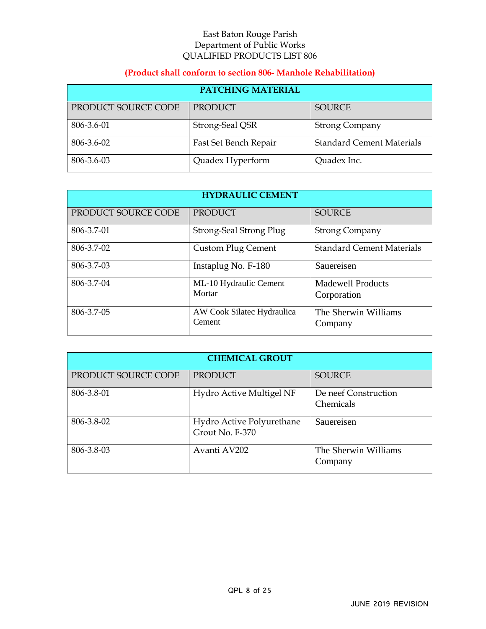## **(Product shall conform to section 806- Manhole Rehabilitation)**

| <b>PATCHING MATERIAL</b> |                       |                                  |  |
|--------------------------|-----------------------|----------------------------------|--|
| PRODUCT SOURCE CODE      | PRODUCT               | <b>SOURCE</b>                    |  |
| 806-3.6-01               | Strong-Seal QSR       | <b>Strong Company</b>            |  |
| 806-3.6-02               | Fast Set Bench Repair | <b>Standard Cement Materials</b> |  |
| 806-3.6-03               | Quadex Hyperform      | Quadex Inc.                      |  |

| <b>HYDRAULIC CEMENT</b> |                                      |                                         |  |
|-------------------------|--------------------------------------|-----------------------------------------|--|
| PRODUCT SOURCE CODE     | <b>PRODUCT</b>                       | <b>SOURCE</b>                           |  |
| 806-3.7-01              | Strong-Seal Strong Plug              | <b>Strong Company</b>                   |  |
| 806-3.7-02              | <b>Custom Plug Cement</b>            | <b>Standard Cement Materials</b>        |  |
| 806-3.7-03              | Instaplug No. F-180                  | Sauereisen                              |  |
| 806-3.7-04              | ML-10 Hydraulic Cement<br>Mortar     | <b>Madewell Products</b><br>Corporation |  |
| 806-3.7-05              | AW Cook Silatec Hydraulica<br>Cement | The Sherwin Williams<br>Company         |  |

| <b>CHEMICAL GROUT</b> |                                              |                                   |  |
|-----------------------|----------------------------------------------|-----------------------------------|--|
| PRODUCT SOURCE CODE   | <b>PRODUCT</b>                               | <b>SOURCE</b>                     |  |
| 806-3.8-01            | Hydro Active Multigel NF                     | De neef Construction<br>Chemicals |  |
| 806-3.8-02            | Hydro Active Polyurethane<br>Grout No. F-370 | Sauereisen                        |  |
| 806-3.8-03            | Avanti AV202                                 | The Sherwin Williams<br>Company   |  |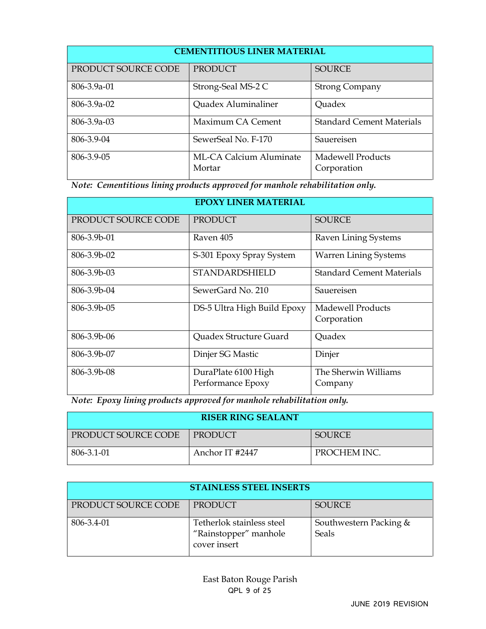| <b>CEMENTITIOUS LINER MATERIAL</b> |                                   |                                  |  |
|------------------------------------|-----------------------------------|----------------------------------|--|
| PRODUCT SOURCE CODE                | <b>PRODUCT</b>                    | <b>SOURCE</b>                    |  |
| 806-3.9a-01                        | Strong-Seal MS-2 C                | <b>Strong Company</b>            |  |
| $806 - 3.9a - 02$                  | Quadex Aluminaliner               | Quadex                           |  |
| $806 - 3.9a - 03$                  | Maximum CA Cement                 | <b>Standard Cement Materials</b> |  |
| 806-3.9-04                         | SewerSeal No. F-170               | Sauereisen                       |  |
| 806-3.9-05                         | ML-CA Calcium Aluminate<br>Mortar | Madewell Products<br>Corporation |  |

*Note: Cementitious lining products approved for manhole rehabilitation only.* 

| <b>EPOXY LINER MATERIAL</b> |                                          |                                         |  |
|-----------------------------|------------------------------------------|-----------------------------------------|--|
| PRODUCT SOURCE CODE         | <b>PRODUCT</b>                           | <b>SOURCE</b>                           |  |
| 806-3.9b-01                 | Raven 405                                | Raven Lining Systems                    |  |
| 806-3.9b-02                 | S-301 Epoxy Spray System                 | <b>Warren Lining Systems</b>            |  |
| $806 - 3.9b - 03$           | <b>STANDARDSHIELD</b>                    | <b>Standard Cement Materials</b>        |  |
| 806-3.9b-04                 | SewerGard No. 210                        | Sauereisen                              |  |
| 806-3.9b-05                 | DS-5 Ultra High Build Epoxy              | <b>Madewell Products</b><br>Corporation |  |
| 806-3.9b-06                 | Quadex Structure Guard                   | Quadex                                  |  |
| $806 - 3.9b - 07$           | Dinjer SG Mastic                         | Dinjer                                  |  |
| 806-3.9b-08                 | DuraPlate 6100 High<br>Performance Epoxy | The Sherwin Williams<br>Company         |  |

*Note: Epoxy lining products approved for manhole rehabilitation only.* 

| <b>RISER RING SEALANT</b> |                 |               |  |
|---------------------------|-----------------|---------------|--|
| PRODUCT SOURCE CODE       | I PRODUCT       | <b>SOURCE</b> |  |
| 806-3.1-01                | Anchor IT #2447 | PROCHEM INC.  |  |

| <b>STAINLESS STEEL INSERTS</b> |                                                                    |                                        |  |
|--------------------------------|--------------------------------------------------------------------|----------------------------------------|--|
| PRODUCT SOURCE CODE            | PRODUCT                                                            | <b>SOURCE</b>                          |  |
| 806-3.4-01                     | Tetherlok stainless steel<br>"Rainstopper" manhole<br>cover insert | Southwestern Packing &<br><b>Seals</b> |  |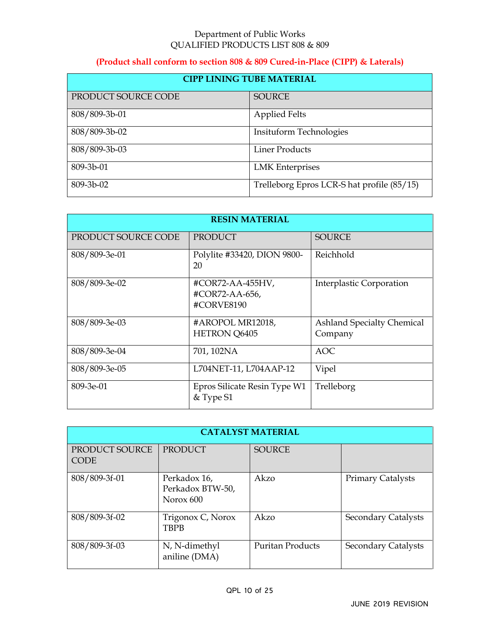#### Department of Public Works QUALIFIED PRODUCTS LIST 808 & 809

## **(Product shall conform to section 808 & 809 Cured-in-Place (CIPP) & Laterals)**

| <b>CIPP LINING TUBE MATERIAL</b> |                                            |  |
|----------------------------------|--------------------------------------------|--|
| PRODUCT SOURCE CODE              | <b>SOURCE</b>                              |  |
| 808/809-3b-01                    | <b>Applied Felts</b>                       |  |
| 808/809-3b-02                    | Insituform Technologies                    |  |
| 808/809-3b-03                    | <b>Liner Products</b>                      |  |
| 809-3b-01                        | <b>LMK</b> Enterprises                     |  |
| 809-3b-02                        | Trelleborg Epros LCR-S hat profile (85/15) |  |

| <b>RESIN MATERIAL</b> |                                                  |                                              |  |
|-----------------------|--------------------------------------------------|----------------------------------------------|--|
| PRODUCT SOURCE CODE   | <b>PRODUCT</b>                                   | <b>SOURCE</b>                                |  |
| 808/809-3e-01         | Polylite #33420, DION 9800-<br>20                | Reichhold                                    |  |
| 808/809-3e-02         | #COR72-AA-455HV,<br>#COR72-AA-656,<br>#CORVE8190 | Interplastic Corporation                     |  |
| 808/809-3e-03         | #AROPOL MR12018,<br>HETRON Q6405                 | <b>Ashland Specialty Chemical</b><br>Company |  |
| 808/809-3e-04         | 701, 102NA                                       | <b>AOC</b>                                   |  |
| 808/809-3e-05         | L704NET-11, L704AAP-12                           | Vipel                                        |  |
| 809-3e-01             | Epros Silicate Resin Type W1<br>& Type S1        | Trelleborg                                   |  |

|                               | <b>CATALYST MATERIAL</b>                      |                         |                            |  |  |
|-------------------------------|-----------------------------------------------|-------------------------|----------------------------|--|--|
| PRODUCT SOURCE<br><b>CODE</b> | <b>PRODUCT</b>                                | <b>SOURCE</b>           |                            |  |  |
| 808/809-3f-01                 | Perkadox 16,<br>Perkadox BTW-50,<br>Norox 600 | Akzo                    | <b>Primary Catalysts</b>   |  |  |
| 808/809-3f-02                 | Trigonox C, Norox<br><b>TBPB</b>              | Akzo                    | <b>Secondary Catalysts</b> |  |  |
| 808/809-3f-03                 | N, N-dimethyl<br>aniline (DMA)                | <b>Puritan Products</b> | <b>Secondary Catalysts</b> |  |  |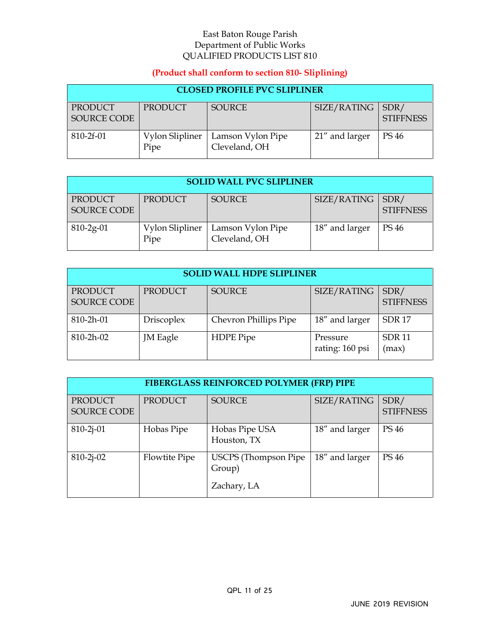## **(Product shall conform to section 810- Sliplining)**

| <b>CLOSED PROFILE PVC SLIPLINER</b> |                         |                                    |                |                          |
|-------------------------------------|-------------------------|------------------------------------|----------------|--------------------------|
| PRODUCT<br><b>SOURCE CODE</b>       | PRODUCT                 | <b>SOURCE</b>                      | SIZE/RATING    | SDR/<br><b>STIFFNESS</b> |
| 810-2f-01                           | Vylon Slipliner<br>Pipe | Lamson Vylon Pipe<br>Cleveland, OH | 21" and larger | PS 46                    |

| <b>SOLID WALL PVC SLIPLINER</b> |                         |                                    |                |                          |
|---------------------------------|-------------------------|------------------------------------|----------------|--------------------------|
| PRODUCT<br><b>SOURCE CODE</b>   | PRODUCT                 | <b>SOURCE</b>                      | SIZE/RATING    | SDR/<br><b>STIFFNESS</b> |
| $810 - 2g - 01$                 | Vylon Slipliner<br>Pipe | Lamson Vylon Pipe<br>Cleveland, OH | 18" and larger | PS 46                    |

| <b>SOLID WALL HDPE SLIPLINER</b> |                   |                       |                             |                          |
|----------------------------------|-------------------|-----------------------|-----------------------------|--------------------------|
| <b>PRODUCT</b><br>SOURCE CODE    | <b>PRODUCT</b>    | <b>SOURCE</b>         | SIZE/RATING                 | SDR/<br><b>STIFFNESS</b> |
| 810-2h-01                        | <b>Driscoplex</b> | Chevron Phillips Pipe | 18" and larger              | SDR <sub>17</sub>        |
| $810 - 2h - 02$                  | JM Eagle          | HDPE Pipe             | Pressure<br>rating: 160 psi | <b>SDR11</b><br>(max)    |

| <b>FIBERGLASS REINFORCED POLYMER (FRP) PIPE</b> |                |                                                      |                |                          |
|-------------------------------------------------|----------------|------------------------------------------------------|----------------|--------------------------|
| <b>PRODUCT</b><br><b>SOURCE CODE</b>            | <b>PRODUCT</b> | <b>SOURCE</b>                                        | SIZE/RATING    | SDR/<br><b>STIFFNESS</b> |
| $810 - 2j - 01$                                 | Hobas Pipe     | Hobas Pipe USA<br>Houston, TX                        | 18" and larger | <b>PS 46</b>             |
| $810 - 2j - 02$                                 | Flowtite Pipe  | <b>USCPS</b> (Thompson Pipe<br>Group)<br>Zachary, LA | 18" and larger | <b>PS 46</b>             |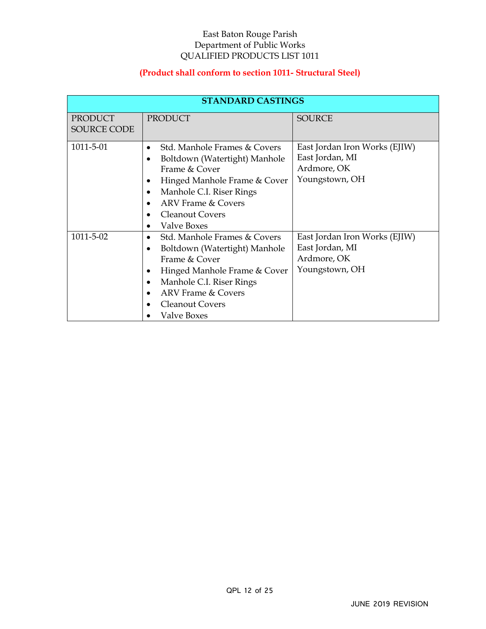## **(Product shall conform to section 1011- Structural Steel)**

|                               | <b>STANDARD CASTINGS</b>                                                                                                                                                                                                                   |                                                                                   |
|-------------------------------|--------------------------------------------------------------------------------------------------------------------------------------------------------------------------------------------------------------------------------------------|-----------------------------------------------------------------------------------|
| PRODUCT<br><b>SOURCE CODE</b> | <b>PRODUCT</b>                                                                                                                                                                                                                             | <b>SOURCE</b>                                                                     |
| 1011-5-01                     | Std. Manhole Frames & Covers<br>$\bullet$<br>Boltdown (Watertight) Manhole<br>Frame & Cover<br>Hinged Manhole Frame & Cover<br>Manhole C.I. Riser Rings<br><b>ARV</b> Frame & Covers<br>$\bullet$<br><b>Cleanout Covers</b><br>Valve Boxes | East Jordan Iron Works (EJIW)<br>East Jordan, MI<br>Ardmore, OK<br>Youngstown, OH |
| 1011-5-02                     | Std. Manhole Frames & Covers<br>٠<br>Boltdown (Watertight) Manhole<br>$\bullet$<br>Frame & Cover<br>Hinged Manhole Frame & Cover<br>Manhole C.I. Riser Rings<br><b>ARV</b> Frame & Covers<br><b>Cleanout Covers</b><br><b>Valve Boxes</b>  | East Jordan Iron Works (EJIW)<br>East Jordan, MI<br>Ardmore, OK<br>Youngstown, OH |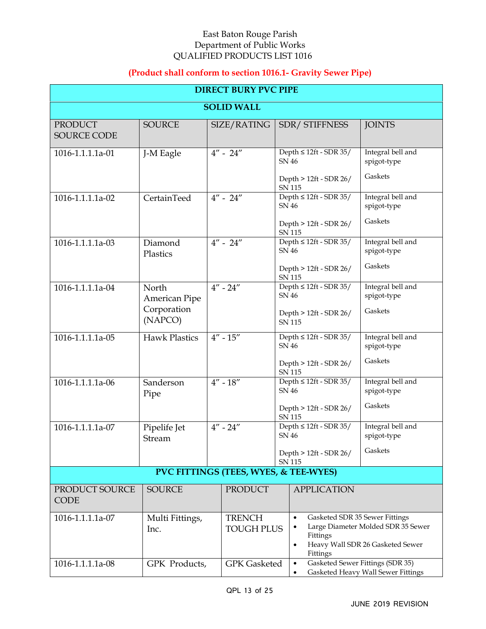# **(Product shall conform to section 1016.1- Gravity Sewer Pipe)**

|                                       | <b>DIRECT BURY PVC PIPE</b>                      |                                          |                                                                                                          |                                                                                                          |  |  |
|---------------------------------------|--------------------------------------------------|------------------------------------------|----------------------------------------------------------------------------------------------------------|----------------------------------------------------------------------------------------------------------|--|--|
| <b>SOLID WALL</b>                     |                                                  |                                          |                                                                                                          |                                                                                                          |  |  |
| <b>PRODUCT</b><br><b>SOURCE CODE</b>  | <b>SOURCE</b>                                    | SIZE/RATING                              | SDR/ STIFFNESS                                                                                           | <b>JOINTS</b>                                                                                            |  |  |
| 1016-1.1.1.1a-01                      | J-M Eagle                                        | $4'' - 24''$                             | Depth $\leq 12$ ft - SDR 35/<br>SN 46<br>Depth > 12ft - SDR 26/                                          | Integral bell and<br>spigot-type<br>Gaskets                                                              |  |  |
| 1016-1.1.1.1a-02                      | CertainTeed                                      | $4'' - 24''$                             | <b>SN 115</b><br>Depth $\leq 12$ ft - SDR 35/<br><b>SN 46</b><br>Depth > 12ft - SDR 26/                  | Integral bell and<br>spigot-type<br>Gaskets                                                              |  |  |
| 1016-1.1.1.1a-03                      | Diamond<br>Plastics                              | $4'' - 24''$                             | <b>SN 115</b><br>Depth $\leq 12$ ft - SDR 35/<br><b>SN 46</b><br>Depth > 12ft - SDR 26/<br><b>SN 115</b> | Integral bell and<br>spigot-type<br>Gaskets                                                              |  |  |
| 1016-1.1.1.1a-04                      | North<br>American Pipe<br>Corporation<br>(NAPCO) | $4'' - 24''$                             | Depth $\leq 12$ ft - SDR 35/<br>SN 46<br>Depth > 12ft - SDR 26/<br><b>SN 115</b>                         | Integral bell and<br>spigot-type<br>Gaskets                                                              |  |  |
| 1016-1.1.1.1a-05                      | <b>Hawk Plastics</b>                             | $4'' - 15''$                             | Depth $\leq 12$ ft - SDR 35/<br><b>SN 46</b><br>Depth > 12ft - SDR 26/<br><b>SN 115</b>                  | Integral bell and<br>spigot-type<br>Gaskets                                                              |  |  |
| 1016-1.1.1.1a-06                      | Sanderson<br>Pipe                                | $4^{\prime\prime}$ - $18^{\prime\prime}$ | Depth $\leq 12$ ft - SDR 35/<br>SN 46<br>Depth > 12ft - SDR 26/<br><b>SN 115</b>                         | Integral bell and<br>spigot-type<br>Gaskets                                                              |  |  |
| 1016-1.1.1.1a-07                      | Pipelife Jet<br>Stream                           | $4'' - 24''$                             | Depth $\leq 12$ ft - SDR 35/<br>SN 46<br>Depth > 12ft - SDR 26/<br>SN 115                                | Integral bell and<br>spigot-type<br>Gaskets                                                              |  |  |
| PVC FITTINGS (TEES, WYES, & TEE-WYES) |                                                  |                                          |                                                                                                          |                                                                                                          |  |  |
| PRODUCT SOURCE<br><b>CODE</b>         | <b>SOURCE</b>                                    | <b>PRODUCT</b>                           | <b>APPLICATION</b>                                                                                       |                                                                                                          |  |  |
| 1016-1.1.1.1a-07                      | Multi Fittings,<br>Inc.                          | <b>TRENCH</b><br><b>TOUGH PLUS</b>       | $\bullet$<br>Fittings<br>$\bullet$<br>Fittings                                                           | Gasketed SDR 35 Sewer Fittings<br>Large Diameter Molded SDR 35 Sewer<br>Heavy Wall SDR 26 Gasketed Sewer |  |  |
| 1016-1.1.1.1a-08                      | GPK Products,                                    | <b>GPK</b> Gasketed                      | Gasketed Sewer Fittings (SDR 35)<br>٠<br>Gasketed Heavy Wall Sewer Fittings                              |                                                                                                          |  |  |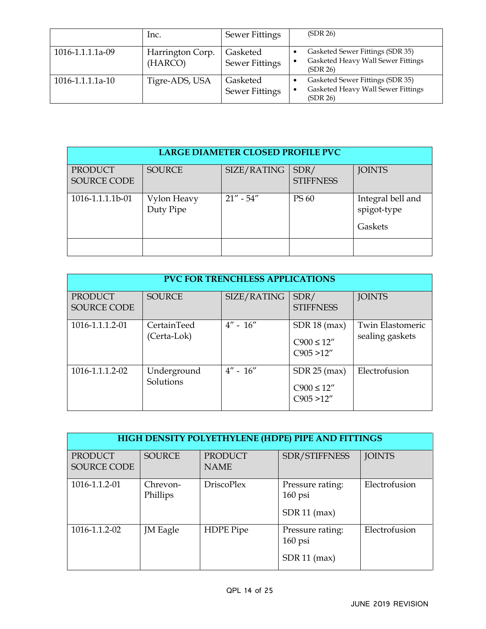|                        | lnc.                        | <b>Sewer Fittings</b>             | (SDR 26)                                                                           |
|------------------------|-----------------------------|-----------------------------------|------------------------------------------------------------------------------------|
| 1016-1.1.1.1a-09       | Harrington Corp.<br>(HARCO) | Gasketed<br><b>Sewer Fittings</b> | Gasketed Sewer Fittings (SDR 35)<br>Gasketed Heavy Wall Sewer Fittings<br>(SDR 26) |
| $1016 - 1.1.1.1a - 10$ | Tigre-ADS, USA              | Gasketed<br><b>Sewer Fittings</b> | Gasketed Sewer Fittings (SDR 35)<br>Gasketed Heavy Wall Sewer Fittings<br>(SDR 26) |

| LARGE DIAMETER CLOSED PROFILE PVC |                          |               |                          |                                             |  |
|-----------------------------------|--------------------------|---------------|--------------------------|---------------------------------------------|--|
| PRODUCT<br>SOURCE CODE            | <b>SOURCE</b>            | SIZE/RATING   | SDR/<br><b>STIFFNESS</b> | <b>JOINTS</b>                               |  |
| 1016-1.1.1.1b-01                  | Vylon Heavy<br>Duty Pipe | $21'' - 54''$ | PS 60                    | Integral bell and<br>spigot-type<br>Gaskets |  |
|                                   |                          |               |                          |                                             |  |

| <b>PVC FOR TRENCHLESS APPLICATIONS</b> |                            |              |                                                 |                                            |  |
|----------------------------------------|----------------------------|--------------|-------------------------------------------------|--------------------------------------------|--|
| PRODUCT<br><b>SOURCE CODE</b>          | <b>SOURCE</b>              | SIZE/RATING  | SDR/<br><b>STIFFNESS</b>                        | <b>JOINTS</b>                              |  |
| 1016-1.1.1.2-01                        | CertainTeed<br>(Certa-Lok) | $4'' - 16''$ | $SDR$ 18 (max)<br>$C900 \le 12''$<br>C905 > 12" | <b>Twin Elastomeric</b><br>sealing gaskets |  |
| 1016-1.1.1.2-02                        | Underground<br>Solutions   | $4'' - 16''$ | $SDR$ 25 (max)<br>$C900 \le 12''$<br>C905 > 12" | Electrofusion                              |  |

|                        | HIGH DENSITY POLYETHYLENE (HDPE) PIPE AND FITTINGS |                               |                                                 |               |  |
|------------------------|----------------------------------------------------|-------------------------------|-------------------------------------------------|---------------|--|
| PRODUCT<br>SOURCE CODE | <b>SOURCE</b>                                      | <b>PRODUCT</b><br><b>NAME</b> | SDR/STIFFNESS                                   | <b>JOINTS</b> |  |
| 1016-1.1.2-01          | Chrevon-<br>Phillips                               | <b>DriscoPlex</b>             | Pressure rating:<br>$160$ psi<br>$SDR$ 11 (max) | Electrofusion |  |
| 1016-1.1.2-02          | JM Eagle                                           | <b>HDPE</b> Pipe              | Pressure rating:<br>$160$ psi<br>$SDR$ 11 (max) | Electrofusion |  |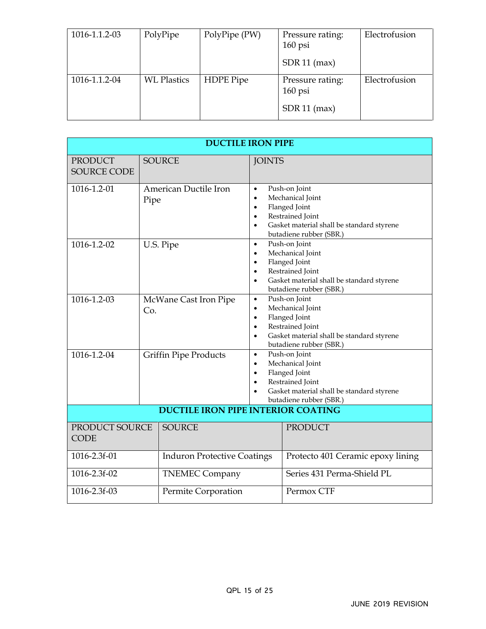| 1016-1.1.2-03 | PolyPipe           | PolyPipe (PW) | Pressure rating:<br>$160$ psi<br>$SDR$ 11 (max) | Electrofusion |
|---------------|--------------------|---------------|-------------------------------------------------|---------------|
| 1016-1.1.2-04 | <b>WL Plastics</b> | HDPE Pipe     | Pressure rating:<br>$160$ psi<br>$SDR$ 11 (max) | Electrofusion |

| <b>DUCTILE IRON PIPE</b>                           |                                           |                                                                                                                                                                                                                 |                                                                                                                                                |  |
|----------------------------------------------------|-------------------------------------------|-----------------------------------------------------------------------------------------------------------------------------------------------------------------------------------------------------------------|------------------------------------------------------------------------------------------------------------------------------------------------|--|
| <b>PRODUCT</b><br><b>SOURCE CODE</b>               | <b>SOURCE</b>                             | <b>JOINTS</b>                                                                                                                                                                                                   |                                                                                                                                                |  |
| 1016-1.2-01                                        | American Ductile Iron<br>Pipe             | $\bullet$<br>$\bullet$<br>$\bullet$<br>$\bullet$                                                                                                                                                                | Push-on Joint<br>Mechanical Joint<br>Flanged Joint<br>Restrained Joint<br>Gasket material shall be standard styrene<br>butadiene rubber (SBR.) |  |
| 1016-1.2-02                                        | U.S. Pipe                                 | Push-on Joint<br>$\bullet$<br>Mechanical Joint<br>$\bullet$<br>Flanged Joint<br>$\bullet$<br>Restrained Joint<br>$\bullet$<br>Gasket material shall be standard styrene<br>$\bullet$<br>butadiene rubber (SBR.) |                                                                                                                                                |  |
| 1016-1.2-03                                        | McWane Cast Iron Pipe<br>Co.              | Push-on Joint<br>$\bullet$<br>Mechanical Joint<br>$\bullet$<br>Flanged Joint<br>$\bullet$<br>Restrained Joint<br>$\bullet$<br>Gasket material shall be standard styrene<br>$\bullet$<br>butadiene rubber (SBR.) |                                                                                                                                                |  |
| 1016-1.2-04                                        | <b>Griffin Pipe Products</b>              | Push-on Joint<br>$\bullet$<br>Mechanical Joint<br>$\bullet$<br>Flanged Joint<br>$\bullet$<br>Restrained Joint<br>Gasket material shall be standard styrene<br>butadiene rubber (SBR.)                           |                                                                                                                                                |  |
|                                                    | <b>DUCTILE IRON PIPE INTERIOR COATING</b> |                                                                                                                                                                                                                 |                                                                                                                                                |  |
| PRODUCT SOURCE<br><b>CODE</b>                      | <b>SOURCE</b>                             |                                                                                                                                                                                                                 | <b>PRODUCT</b>                                                                                                                                 |  |
| 1016-2.3f-01<br><b>Induron Protective Coatings</b> |                                           |                                                                                                                                                                                                                 | Protecto 401 Ceramic epoxy lining                                                                                                              |  |
| 1016-2.3f-02                                       | <b>TNEMEC Company</b>                     |                                                                                                                                                                                                                 | Series 431 Perma-Shield PL                                                                                                                     |  |
| 1016-2.3f-03                                       | Permite Corporation                       |                                                                                                                                                                                                                 | Permox CTF                                                                                                                                     |  |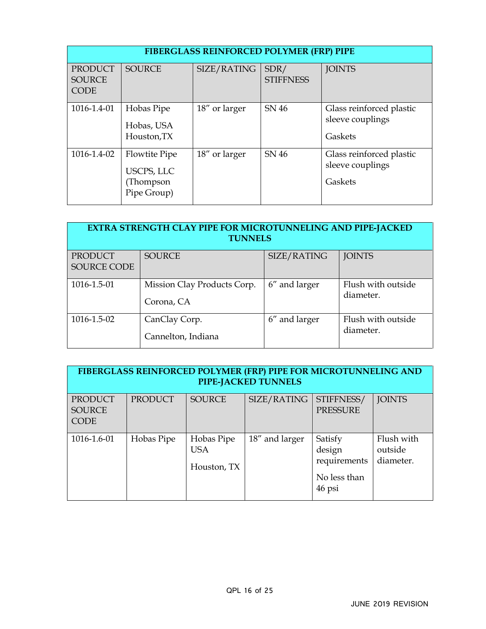|                                                | <b>FIBERGLASS REINFORCED POLYMER (FRP) PIPE</b>         |               |                          |                                                         |  |  |
|------------------------------------------------|---------------------------------------------------------|---------------|--------------------------|---------------------------------------------------------|--|--|
| <b>PRODUCT</b><br><b>SOURCE</b><br><b>CODE</b> | <b>SOURCE</b>                                           | SIZE/RATING   | SDR/<br><b>STIFFNESS</b> | <b>JOINTS</b>                                           |  |  |
| 1016-1.4-01                                    | Hobas Pipe<br>Hobas, USA<br>Houston, TX                 | 18" or larger | SN 46                    | Glass reinforced plastic<br>sleeve couplings<br>Gaskets |  |  |
| 1016-1.4-02                                    | Flowtite Pipe<br>USCPS, LLC<br>(Thompson<br>Pipe Group) | 18" or larger | SN 46                    | Glass reinforced plastic<br>sleeve couplings<br>Gaskets |  |  |

| <b>EXTRA STRENGTH CLAY PIPE FOR MICROTUNNELING AND PIPE-JACKED</b><br><b>TUNNELS</b> |                                           |               |                                 |  |  |
|--------------------------------------------------------------------------------------|-------------------------------------------|---------------|---------------------------------|--|--|
| <b>PRODUCT</b><br><b>SOURCE CODE</b>                                                 | <b>SOURCE</b>                             | SIZE/RATING   | <b>JOINTS</b>                   |  |  |
| 1016-1.5-01                                                                          | Mission Clay Products Corp.<br>Corona, CA | 6" and larger | Flush with outside<br>diameter. |  |  |
| 1016-1.5-02                                                                          | CanClay Corp.<br>Cannelton, Indiana       | 6" and larger | Flush with outside<br>diameter. |  |  |

| FIBERGLASS REINFORCED POLYMER (FRP) PIPE FOR MICROTUNNELING AND<br>PIPE-JACKED TUNNELS |                |                                         |                |                                                             |                                    |
|----------------------------------------------------------------------------------------|----------------|-----------------------------------------|----------------|-------------------------------------------------------------|------------------------------------|
| <b>PRODUCT</b><br><b>SOURCE</b><br><b>CODE</b>                                         | <b>PRODUCT</b> | <b>SOURCE</b>                           | SIZE/RATING    | STIFFNESS/<br><b>PRESSURE</b>                               | <b>JOINTS</b>                      |
| 1016-1.6-01                                                                            | Hobas Pipe     | Hobas Pipe<br><b>USA</b><br>Houston, TX | 18" and larger | Satisfy<br>design<br>requirements<br>No less than<br>46 psi | Flush with<br>outside<br>diameter. |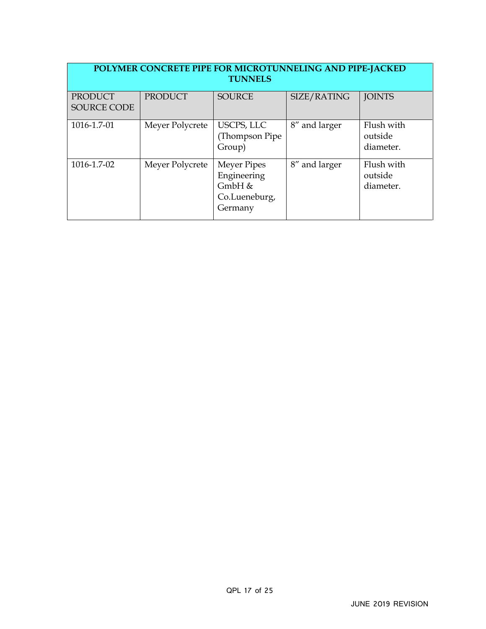| POLYMER CONCRETE PIPE FOR MICROTUNNELING AND PIPE-JACKED<br><b>TUNNELS</b> |                 |                                                                           |               |                                    |
|----------------------------------------------------------------------------|-----------------|---------------------------------------------------------------------------|---------------|------------------------------------|
| PRODUCT<br><b>SOURCE CODE</b>                                              | <b>PRODUCT</b>  | <b>SOURCE</b>                                                             | SIZE/RATING   | <b>JOINTS</b>                      |
| 1016-1.7-01                                                                | Meyer Polycrete | USCPS, LLC<br>(Thompson Pipe)<br>Group)                                   | 8" and larger | Flush with<br>outside<br>diameter. |
| 1016-1.7-02                                                                | Meyer Polycrete | <b>Meyer Pipes</b><br>Engineering<br>$GmbH$ &<br>Co.Lueneburg,<br>Germany | 8" and larger | Flush with<br>outside<br>diameter. |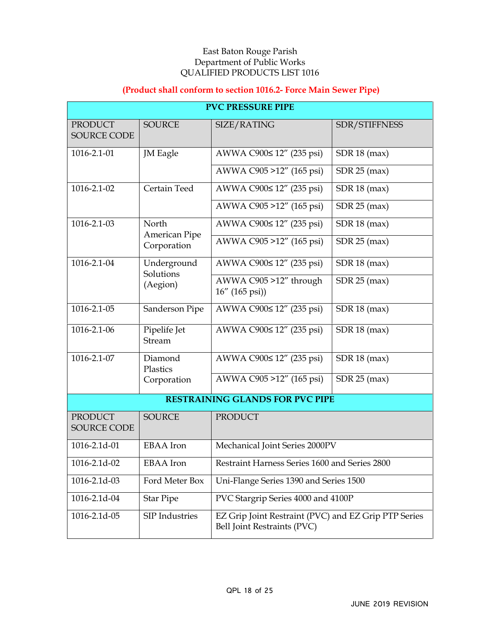## **(Product shall conform to section 1016.2- Force Main Sewer Pipe)**

|                                      | <b>PVC PRESSURE PIPE</b> |                                                                                     |                |  |  |  |
|--------------------------------------|--------------------------|-------------------------------------------------------------------------------------|----------------|--|--|--|
| <b>PRODUCT</b><br><b>SOURCE CODE</b> | <b>SOURCE</b>            | SIZE/RATING                                                                         | SDR/STIFFNESS  |  |  |  |
| 1016-2.1-01                          | <b>JM</b> Eagle          | AWWA C900≤ 12" (235 psi)                                                            | SDR 18 (max)   |  |  |  |
|                                      |                          | AWWA C905 >12" (165 psi)                                                            | $SDR$ 25 (max) |  |  |  |
| 1016-2.1-02                          | Certain Teed             | AWWA C900≤ 12" (235 psi)                                                            | SDR 18 (max)   |  |  |  |
|                                      |                          | AWWA C905 >12" (165 psi)                                                            | $SDR$ 25 (max) |  |  |  |
| 1016-2.1-03                          | North<br>American Pipe   | AWWA C900≤ 12" (235 psi)                                                            | SDR 18 (max)   |  |  |  |
|                                      | Corporation              | AWWA C905 >12" (165 psi)                                                            | $SDR$ 25 (max) |  |  |  |
| 1016-2.1-04                          | Underground<br>Solutions | AWWA C900≤ 12" (235 psi)                                                            | SDR 18 (max)   |  |  |  |
|                                      | (Aegion)                 | AWWA C905 >12" through<br>$16'' (165 \text{ psi})$                                  | $SDR$ 25 (max) |  |  |  |
| $1016 - 2.1 - 05$                    | Sanderson Pipe           | AWWA C900≤ 12" (235 psi)                                                            | SDR 18 (max)   |  |  |  |
| 1016-2.1-06                          | Pipelife Jet<br>Stream   | AWWA C900≤ 12" (235 psi)                                                            | SDR 18 (max)   |  |  |  |
| 1016-2.1-07                          | Diamond<br>Plastics      | AWWA C900≤ 12" (235 psi)                                                            | $SDR$ 18 (max) |  |  |  |
|                                      | Corporation              | AWWA C905 >12" (165 psi)                                                            | $SDR$ 25 (max) |  |  |  |
|                                      |                          | <b>RESTRAINING GLANDS FOR PVC PIPE</b>                                              |                |  |  |  |
| <b>PRODUCT</b><br><b>SOURCE CODE</b> | <b>SOURCE</b>            | <b>PRODUCT</b>                                                                      |                |  |  |  |
| 1016-2.1d-01                         | <b>EBAA</b> Iron         | Mechanical Joint Series 2000PV                                                      |                |  |  |  |
| 1016-2.1d-02                         | <b>EBAA</b> Iron         | Restraint Harness Series 1600 and Series 2800                                       |                |  |  |  |
| 1016-2.1d-03                         | Ford Meter Box           | Uni-Flange Series 1390 and Series 1500                                              |                |  |  |  |
| 1016-2.1d-04                         | <b>Star Pipe</b>         | PVC Stargrip Series 4000 and 4100P                                                  |                |  |  |  |
| 1016-2.1d-05                         | SIP Industries           | EZ Grip Joint Restraint (PVC) and EZ Grip PTP Series<br>Bell Joint Restraints (PVC) |                |  |  |  |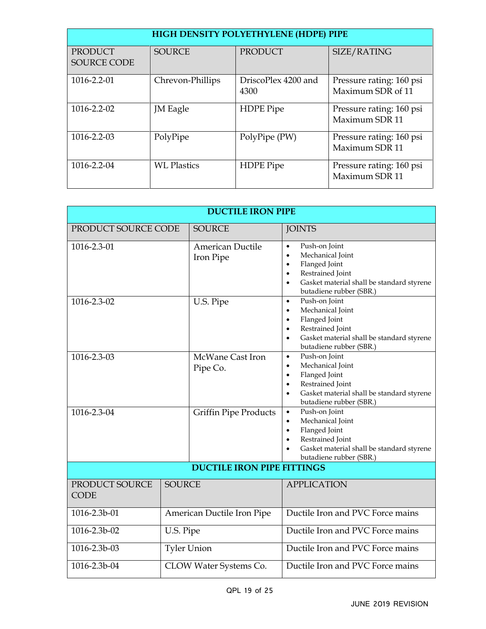| HIGH DENSITY POLYETHYLENE (HDPE) PIPE |                    |                             |                                               |
|---------------------------------------|--------------------|-----------------------------|-----------------------------------------------|
| PRODUCT<br><b>SOURCE CODE</b>         | <b>SOURCE</b>      | <b>PRODUCT</b>              | SIZE/RATING                                   |
| 1016-2.2-01                           | Chrevon-Phillips   | DriscoPlex 4200 and<br>4300 | Pressure rating: 160 psi<br>Maximum SDR of 11 |
| 1016-2.2-02                           | JM Eagle           | <b>HDPE</b> Pipe            | Pressure rating: 160 psi<br>Maximum SDR 11    |
| 1016-2.2-03                           | PolyPipe           | PolyPipe (PW)               | Pressure rating: 160 psi<br>Maximum SDR 11    |
| 1016-2.2-04                           | <b>WL Plastics</b> | <b>HDPE</b> Pipe            | Pressure rating: 160 psi<br>Maximum SDR 11    |

| <b>DUCTILE IRON PIPE</b>               |                            |                                   |                                                                                                                                                                                                                 |
|----------------------------------------|----------------------------|-----------------------------------|-----------------------------------------------------------------------------------------------------------------------------------------------------------------------------------------------------------------|
| PRODUCT SOURCE CODE                    |                            | <b>SOURCE</b>                     | <b>JOINTS</b>                                                                                                                                                                                                   |
| 1016-2.3-01                            |                            | American Ductile<br>Iron Pipe     | Push-on Joint<br>$\bullet$<br>Mechanical Joint<br>$\bullet$<br>Flanged Joint<br>$\bullet$<br>Restrained Joint<br>$\bullet$<br>Gasket material shall be standard styrene<br>$\bullet$<br>butadiene rubber (SBR.) |
| 1016-2.3-02                            |                            | U.S. Pipe                         | Push-on Joint<br>$\bullet$<br>Mechanical Joint<br>$\bullet$<br>Flanged Joint<br>$\bullet$<br>Restrained Joint<br>$\bullet$<br>Gasket material shall be standard styrene<br>$\bullet$<br>butadiene rubber (SBR.) |
| 1016-2.3-03                            |                            | McWane Cast Iron<br>Pipe Co.      | Push-on Joint<br>$\bullet$<br>Mechanical Joint<br>$\bullet$<br>Flanged Joint<br>$\bullet$<br>Restrained Joint<br>$\bullet$<br>Gasket material shall be standard styrene<br>$\bullet$<br>butadiene rubber (SBR.) |
| 1016-2.3-04                            |                            | <b>Griffin Pipe Products</b>      | Push-on Joint<br>$\bullet$<br>Mechanical Joint<br>$\bullet$<br>Flanged Joint<br>$\bullet$<br>Restrained Joint<br>$\bullet$<br>Gasket material shall be standard styrene<br>butadiene rubber (SBR.)              |
|                                        |                            | <b>DUCTILE IRON PIPE FITTINGS</b> |                                                                                                                                                                                                                 |
| PRODUCT SOURCE<br><b>CODE</b>          | <b>SOURCE</b>              |                                   | <b>APPLICATION</b>                                                                                                                                                                                              |
| 1016-2.3b-01                           | American Ductile Iron Pipe |                                   | Ductile Iron and PVC Force mains                                                                                                                                                                                |
| 1016-2.3b-02                           | U.S. Pipe                  |                                   | Ductile Iron and PVC Force mains                                                                                                                                                                                |
| 1016-2.3b-03                           | <b>Tyler Union</b>         |                                   | Ductile Iron and PVC Force mains                                                                                                                                                                                |
| 1016-2.3b-04<br>CLOW Water Systems Co. |                            | Ductile Iron and PVC Force mains  |                                                                                                                                                                                                                 |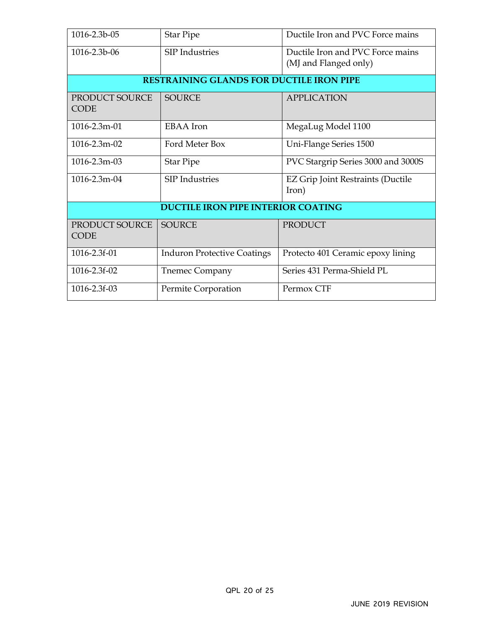| 1016-2.3b-05                  | <b>Star Pipe</b>                                | Ductile Iron and PVC Force mains                          |
|-------------------------------|-------------------------------------------------|-----------------------------------------------------------|
| 1016-2.3b-06                  | <b>SIP</b> Industries                           | Ductile Iron and PVC Force mains<br>(MJ and Flanged only) |
|                               | <b>RESTRAINING GLANDS FOR DUCTILE IRON PIPE</b> |                                                           |
| PRODUCT SOURCE<br><b>CODE</b> | <b>SOURCE</b>                                   | <b>APPLICATION</b>                                        |
| $1016 - 2.3$ m $-01$          | <b>EBAA</b> Iron                                | MegaLug Model 1100                                        |
| 1016-2.3m-02                  | Ford Meter Box                                  | Uni-Flange Series 1500                                    |
| 1016-2.3m-03                  | <b>Star Pipe</b>                                | PVC Stargrip Series 3000 and 3000S                        |
| 1016-2.3m-04                  | <b>SIP</b> Industries                           | EZ Grip Joint Restraints (Ductile<br>Iron)                |
|                               | <b>DUCTILE IRON PIPE INTERIOR COATING</b>       |                                                           |
| PRODUCT SOURCE<br><b>CODE</b> | <b>SOURCE</b>                                   | <b>PRODUCT</b>                                            |
| 1016-2.3f-01                  | <b>Induron Protective Coatings</b>              | Protecto 401 Ceramic epoxy lining                         |
| 1016-2.3f-02                  | <b>Tnemec Company</b>                           | Series 431 Perma-Shield PL                                |
| 1016-2.3f-03                  | Permite Corporation                             | Permox CTF                                                |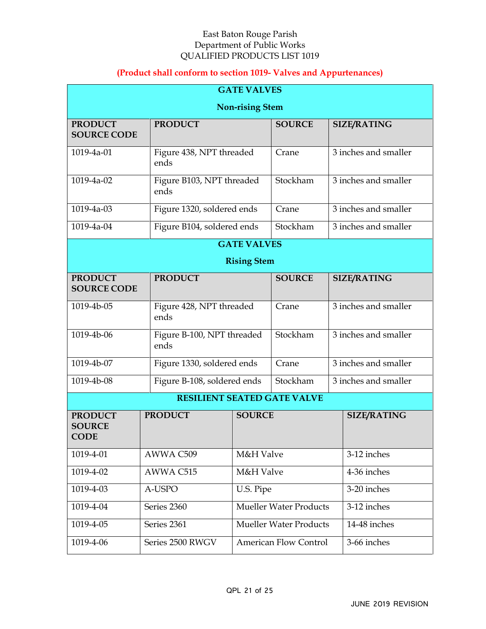## **(Product shall conform to section 1019- Valves and Appurtenances)**

| <b>GATE VALVES</b>                             |                                    |                    |                                    |  |                      |
|------------------------------------------------|------------------------------------|--------------------|------------------------------------|--|----------------------|
|                                                | <b>Non-rising Stem</b>             |                    |                                    |  |                      |
| <b>PRODUCT</b><br><b>SOURCE CODE</b>           | <b>PRODUCT</b>                     |                    | <b>SOURCE</b>                      |  | <b>SIZE/RATING</b>   |
| 1019-4a-01                                     | Figure 438, NPT threaded<br>ends   |                    | Crane                              |  | 3 inches and smaller |
| 1019-4a-02                                     | Figure B103, NPT threaded<br>ends  |                    | Stockham                           |  | 3 inches and smaller |
| 1019-4a-03                                     | Figure 1320, soldered ends         |                    | Crane                              |  | 3 inches and smaller |
| 1019-4a-04                                     | Figure B104, soldered ends         |                    | Stockham                           |  | 3 inches and smaller |
|                                                |                                    | <b>GATE VALVES</b> |                                    |  |                      |
|                                                |                                    | <b>Rising Stem</b> |                                    |  |                      |
| <b>PRODUCT</b><br><b>SOURCE CODE</b>           | <b>PRODUCT</b>                     |                    | <b>SOURCE</b>                      |  | <b>SIZE/RATING</b>   |
| 1019-4b-05                                     | Figure 428, NPT threaded<br>ends   |                    | Crane                              |  | 3 inches and smaller |
| 1019-4b-06                                     | Figure B-100, NPT threaded<br>ends |                    | Stockham                           |  | 3 inches and smaller |
| 1019-4b-07                                     | Figure 1330, soldered ends         |                    | Crane                              |  | 3 inches and smaller |
| 1019-4b-08                                     | Figure B-108, soldered ends        |                    | Stockham                           |  | 3 inches and smaller |
|                                                |                                    |                    | <b>RESILIENT SEATED GATE VALVE</b> |  |                      |
| <b>PRODUCT</b><br><b>SOURCE</b><br><b>CODE</b> | <b>PRODUCT</b>                     | <b>SOURCE</b>      |                                    |  | <b>SIZE/RATING</b>   |
| 1019-4-01                                      | AWWA C509                          | M&H Valve          |                                    |  | 3-12 inches          |
| 1019-4-02                                      | AWWA C515                          |                    | M&H Valve                          |  | 4-36 inches          |
| 1019-4-03                                      | A-USPO                             | U.S. Pipe          |                                    |  | 3-20 inches          |
| 1019-4-04                                      | Series 2360                        |                    | <b>Mueller Water Products</b>      |  | 3-12 inches          |
| 1019-4-05                                      | Series 2361                        |                    | <b>Mueller Water Products</b>      |  | 14-48 inches         |
| 1019-4-06                                      | Series 2500 RWGV                   |                    | <b>American Flow Control</b>       |  | 3-66 inches          |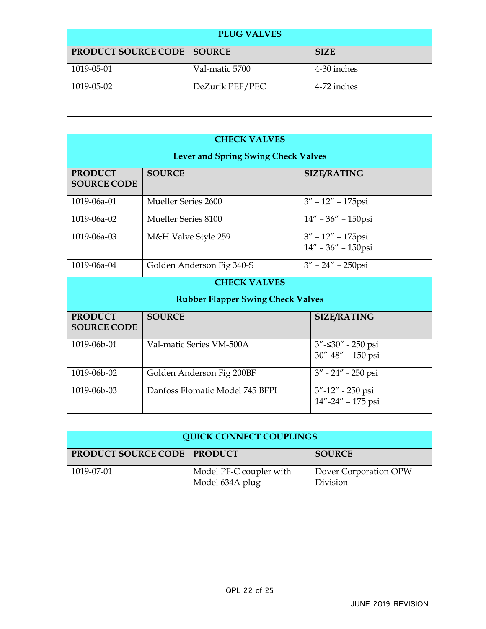| <b>PLUG VALVES</b>                  |                 |             |  |
|-------------------------------------|-----------------|-------------|--|
| <b>PRODUCT SOURCE CODE   SOURCE</b> |                 | <b>SIZE</b> |  |
| 1019-05-01                          | Val-matic 5700  | 4-30 inches |  |
| 1019-05-02                          | DeZurik PEF/PEC | 4-72 inches |  |
|                                     |                 |             |  |

| <b>CHECK VALVES</b>                  |                                            |                                                   |  |  |
|--------------------------------------|--------------------------------------------|---------------------------------------------------|--|--|
|                                      | <b>Lever and Spring Swing Check Valves</b> |                                                   |  |  |
| <b>PRODUCT</b><br><b>SOURCE CODE</b> | <b>SOURCE</b>                              | <b>SIZE/RATING</b>                                |  |  |
| 1019-06a-01                          | Mueller Series 2600                        | $3'' - 12'' - 175$ psi                            |  |  |
| 1019-06a-02                          | Mueller Series 8100                        | $14'' - 36'' - 150$ psi                           |  |  |
| $1019 - 06a - 03$                    | M&H Valve Style 259                        | $3'' - 12'' - 175$ psi<br>$14'' - 36'' - 150$ psi |  |  |
| 1019-06a-04                          | Golden Anderson Fig 340-S                  | $3'' - 24'' - 250$ psi                            |  |  |
| <b>CHECK VALVES</b>                  |                                            |                                                   |  |  |
|                                      | <b>Rubber Flapper Swing Check Valves</b>   |                                                   |  |  |
| <b>PRODUCT</b><br><b>SOURCE CODE</b> | <b>SOURCE</b>                              | <b>SIZE/RATING</b>                                |  |  |
| 1019-06b-01                          | Val-matic Series VM-500A                   | $3'' - 30'' - 250$ psi<br>30"-48" - 150 psi       |  |  |
| 1019-06b-02                          | Golden Anderson Fig 200BF                  | 3" - 24" - 250 psi                                |  |  |
| 1019-06b-03                          | Danfoss Flomatic Model 745 BFPI            | 3"-12" - 250 psi<br>14"-24" - 175 psi             |  |  |

| <b>QUICK CONNECT COUPLINGS</b>       |                                            |                                   |  |
|--------------------------------------|--------------------------------------------|-----------------------------------|--|
| <b>PRODUCT SOURCE CODE   PRODUCT</b> |                                            | <b>SOURCE</b>                     |  |
| 1019-07-01                           | Model PF-C coupler with<br>Model 634A plug | Dover Corporation OPW<br>Division |  |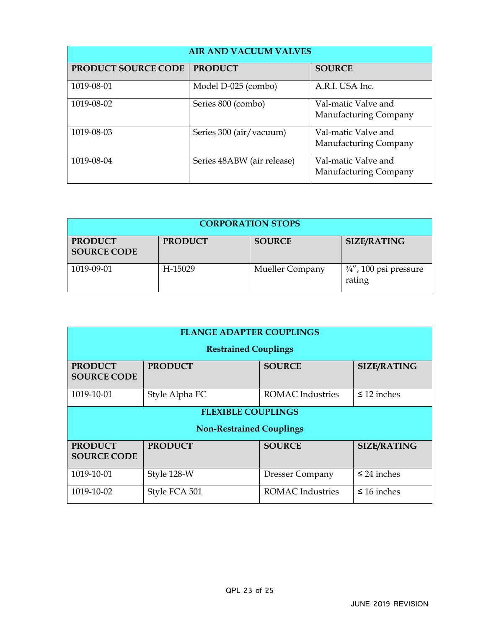| <b>AIR AND VACUUM VALVES</b> |                            |                                              |  |
|------------------------------|----------------------------|----------------------------------------------|--|
| <b>PRODUCT SOURCE CODE</b>   | <b>PRODUCT</b>             | <b>SOURCE</b>                                |  |
| 1019-08-01                   | Model D-025 (combo)        | A.R.I. USA Inc.                              |  |
| 1019-08-02                   | Series 800 (combo)         | Val-matic Valve and<br>Manufacturing Company |  |
| 1019-08-03                   | Series 300 (air/vacuum)    | Val-matic Valve and<br>Manufacturing Company |  |
| 1019-08-04                   | Series 48ABW (air release) | Val-matic Valve and<br>Manufacturing Company |  |

| <b>CORPORATION STOPS</b>             |                |                 |                                             |  |
|--------------------------------------|----------------|-----------------|---------------------------------------------|--|
| <b>PRODUCT</b><br><b>SOURCE CODE</b> | <b>PRODUCT</b> | <b>SOURCE</b>   | <b>SIZE/RATING</b>                          |  |
| 1019-09-01                           | H-15029        | Mueller Company | $\frac{3}{4}$ ", 100 psi pressure<br>rating |  |

| <b>FLANGE ADAPTER COUPLINGS</b>      |                                 |                        |                    |  |
|--------------------------------------|---------------------------------|------------------------|--------------------|--|
|                                      | <b>Restrained Couplings</b>     |                        |                    |  |
| <b>PRODUCT</b><br><b>SOURCE CODE</b> | <b>PRODUCT</b>                  | <b>SOURCE</b>          | <b>SIZE/RATING</b> |  |
| 1019-10-01                           | Style Alpha FC                  | ROMAC Industries       | $\leq$ 12 inches   |  |
| <b>FLEXIBLE COUPLINGS</b>            |                                 |                        |                    |  |
|                                      | <b>Non-Restrained Couplings</b> |                        |                    |  |
| <b>PRODUCT</b><br><b>SOURCE CODE</b> | <b>PRODUCT</b>                  | <b>SOURCE</b>          | <b>SIZE/RATING</b> |  |
| 1019-10-01                           | Style 128-W                     | <b>Dresser Company</b> | $\leq$ 24 inches   |  |
| 1019-10-02                           | Style FCA 501                   | ROMAC Industries       | $\leq 16$ inches   |  |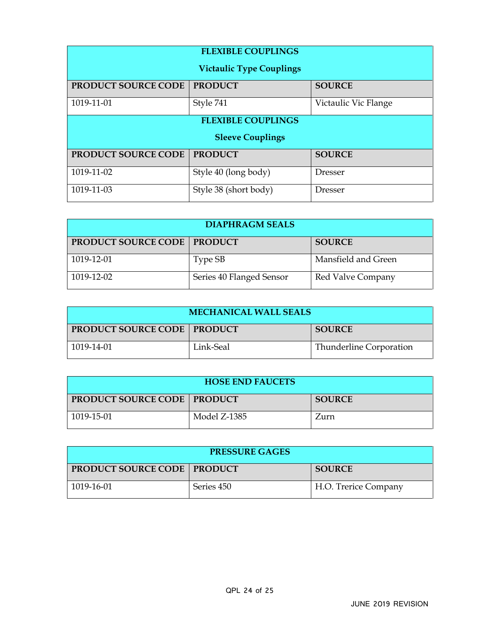| <b>FLEXIBLE COUPLINGS</b>       |                           |                      |  |  |
|---------------------------------|---------------------------|----------------------|--|--|
| <b>Victaulic Type Couplings</b> |                           |                      |  |  |
| PRODUCT SOURCE CODE             | <b>PRODUCT</b>            | <b>SOURCE</b>        |  |  |
| 1019-11-01                      | Style 741                 | Victaulic Vic Flange |  |  |
|                                 | <b>FLEXIBLE COUPLINGS</b> |                      |  |  |
| <b>Sleeve Couplings</b>         |                           |                      |  |  |
| PRODUCT SOURCE CODE             | <b>PRODUCT</b>            | <b>SOURCE</b>        |  |  |
| 1019-11-02                      | Style 40 (long body)      | Dresser              |  |  |
| 1019-11-03                      | Style 38 (short body)     | <b>Dresser</b>       |  |  |

| <b>DIAPHRAGM SEALS</b>               |                          |                     |  |  |
|--------------------------------------|--------------------------|---------------------|--|--|
| <b>PRODUCT SOURCE CODE   PRODUCT</b> |                          | <b>SOURCE</b>       |  |  |
| 1019-12-01                           | Type SB                  | Mansfield and Green |  |  |
| 1019-12-02                           | Series 40 Flanged Sensor | Red Valve Company   |  |  |

| <b>MECHANICAL WALL SEALS</b>         |           |                         |  |
|--------------------------------------|-----------|-------------------------|--|
| <b>PRODUCT SOURCE CODE   PRODUCT</b> |           | <b>SOURCE</b>           |  |
| 1019-14-01                           | Link-Seal | Thunderline Corporation |  |

| <b>HOSE END FAUCETS</b>              |              |               |  |
|--------------------------------------|--------------|---------------|--|
| <b>PRODUCT SOURCE CODE   PRODUCT</b> |              | <b>SOURCE</b> |  |
| 1019-15-01                           | Model Z-1385 | Zurn          |  |

| <b>PRESSURE GAGES</b>                |            |                      |  |
|--------------------------------------|------------|----------------------|--|
| <b>PRODUCT SOURCE CODE   PRODUCT</b> |            | <b>SOURCE</b>        |  |
| 1019-16-01                           | Series 450 | H.O. Trerice Company |  |